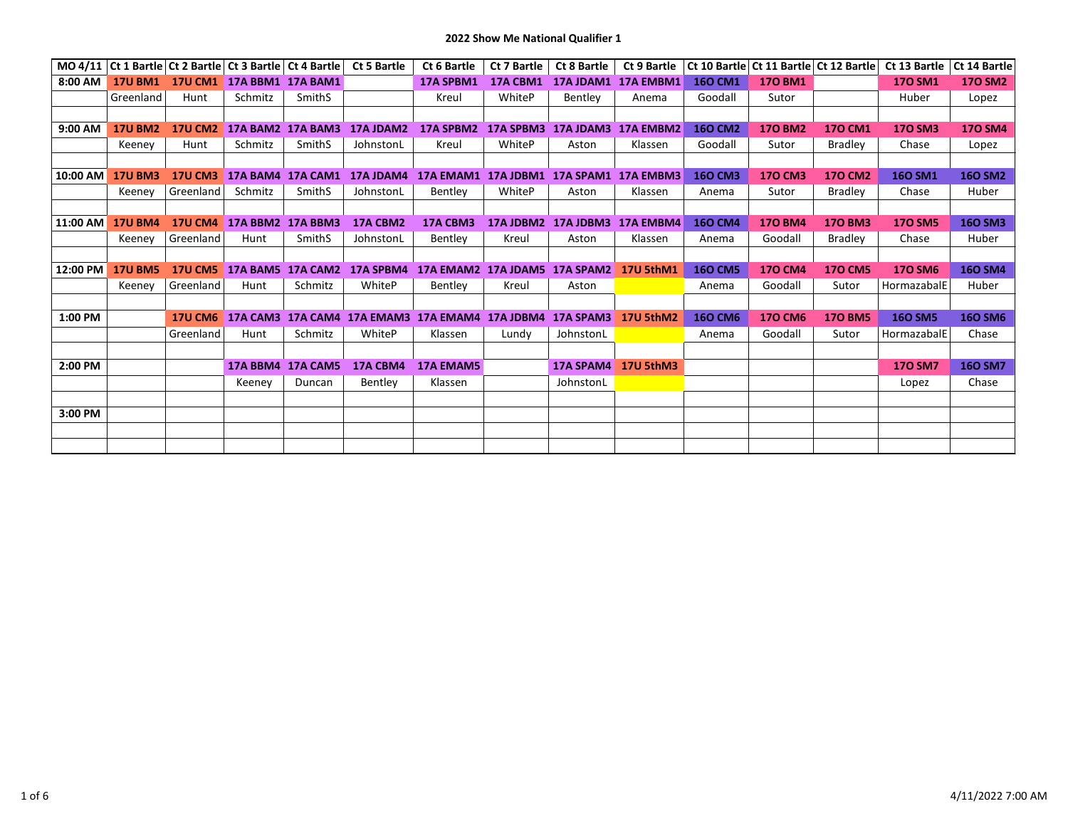**2022 Show Me National Qualifier 1**

|          |                |                | MO 4/11   Ct 1 Bartle   Ct 2 Bartle   Ct 3 Bartle   Ct 4 Bartle |                          | <b>Ct 5 Bartle</b> | Ct 6 Bartle                             | Ct 7 Bartle      | Ct 8 Bartle         | Ct 9 Bartle      | Ct 10 Bartle   | Ct 11 Bartle Ct 12 Bartle |                | Ct 13 Bartle   | Ct 14 Bartle   |
|----------|----------------|----------------|-----------------------------------------------------------------|--------------------------|--------------------|-----------------------------------------|------------------|---------------------|------------------|----------------|---------------------------|----------------|----------------|----------------|
| 8:00 AM  | <b>17U BM1</b> | <b>17U CM1</b> | <b>17A BBM1</b>                                                 | <b>17A BAM1</b>          |                    | 17A SPBM1                               | 17A CBM1         | 17A JDAM1           | 17A EMBM1        | <b>160 CM1</b> | <b>170 BM1</b>            |                | <b>170 SM1</b> | <b>170 SM2</b> |
|          | Greenland      | Hunt           | Schmitz                                                         | SmithS                   |                    | Kreul                                   | WhiteP           | <b>Bentlev</b>      | Anema            | Goodall        | Sutor                     |                | Huber          | Lopez          |
|          |                |                |                                                                 |                          |                    |                                         |                  |                     |                  |                |                           |                |                |                |
| 9:00 AM  | <b>17U BM2</b> | <b>17U CM2</b> |                                                                 | <b>17A BAM2 17A BAM3</b> | <b>17A JDAM2</b>   | 17A SPBM2                               |                  | 17A SPBM3 17A JDAM3 | <b>17A EMBM2</b> | <b>160 CM2</b> | <b>170 BM2</b>            | <b>170 CM1</b> | <b>170 SM3</b> | <b>170 SM4</b> |
|          | Keeney         | Hunt           | Schmitz                                                         | SmithS                   | JohnstonL          | Kreul                                   | WhiteP           | Aston               | Klassen          | Goodall        | Sutor                     | <b>Bradley</b> | Chase          | Lopez          |
|          |                |                |                                                                 |                          |                    |                                         |                  |                     |                  |                |                           |                |                |                |
| 10:00 AM | <b>17U BM3</b> | <b>17U CM3</b> | 17A BAM4 17A CAM1                                               |                          | 17A JDAM4          | 17A EMAM1 17A JDBM1 17A SPAM1 17A EMBM3 |                  |                     |                  | <b>160 CM3</b> | <b>170 CM3</b>            | <b>170 CM2</b> | <b>160 SM1</b> | <b>160 SM2</b> |
|          | Keenev         | Greenland      | Schmitz                                                         | SmithS                   | JohnstonL          | Bentley                                 | WhiteP           | Aston               | Klassen          | Anema          | Sutor                     | <b>Bradley</b> | Chase          | Huber          |
|          |                |                |                                                                 |                          |                    |                                         |                  |                     |                  |                |                           |                |                |                |
| 11:00 AM | <b>17U BM4</b> | <b>17U CM4</b> | 17A BBM2 17A BBM3                                               |                          | 17A CBM2           | 17A CBM3                                |                  | 17A JDBM2 17A JDBM3 | 17A EMBM4        | <b>160 CM4</b> | <b>170 BM4</b>            | <b>170 BM3</b> | <b>170 SM5</b> | <b>160 SM3</b> |
|          | Keeney         | Greenland      | Hunt                                                            | SmithS                   | JohnstonL          | Bentley                                 | Kreul            | Aston               | Klassen          | Anema          | Goodall                   | <b>Bradley</b> | Chase          | Huber          |
|          |                |                |                                                                 |                          |                    |                                         |                  |                     |                  |                |                           |                |                |                |
| 12:00 PM | <b>17U BM5</b> |                | 17U CM5 17A BAM5 17A CAM2                                       |                          | 17A SPBM4          | 17A EMAM2 17A JDAM5 17A SPAM2           |                  |                     | <b>17U 5thM1</b> | <b>160 CM5</b> | <b>170 CM4</b>            | <b>170 CM5</b> | <b>170 SM6</b> | <b>160 SM4</b> |
|          | Keeney         | Greenland      | Hunt                                                            | Schmitz                  | WhiteP             | Bentley                                 | Kreul            | Aston               |                  | Anema          | Goodall                   | Sutor          | HormazabalE    | Huber          |
|          |                |                |                                                                 |                          |                    |                                         |                  |                     |                  |                |                           |                |                |                |
| 1:00 PM  |                | <b>17U CM6</b> | <b>17A CAM3</b>                                                 | 17A CAM4                 | <b>17A EMAM3</b>   | <b>17A EMAM4</b>                        | <b>17A JDBM4</b> | <b>17A SPAM3</b>    | <b>17U 5thM2</b> | <b>160 CM6</b> | <b>170 CM6</b>            | <b>170 BM5</b> | <b>160 SM5</b> | <b>160 SM6</b> |
|          |                | Greenland      | Hunt                                                            | Schmitz                  | WhiteP             | Klassen                                 | Lundy            | JohnstonL           |                  | Anema          | Goodall                   | Sutor          | HormazabalE    | Chase          |
|          |                |                |                                                                 |                          |                    |                                         |                  |                     |                  |                |                           |                |                |                |
| 2:00 PM  |                |                | <b>17A BBM4</b>                                                 | <b>17A CAM5</b>          | 17A CBM4           | <b>17A EMAM5</b>                        |                  | <b>17A SPAM4</b>    | 17U 5thM3        |                |                           |                | <b>170 SM7</b> | <b>160 SM7</b> |
|          |                |                | Keeney                                                          | Duncan                   | Bentley            | Klassen                                 |                  | JohnstonL           |                  |                |                           |                | Lopez          | Chase          |
|          |                |                |                                                                 |                          |                    |                                         |                  |                     |                  |                |                           |                |                |                |
| 3:00 PM  |                |                |                                                                 |                          |                    |                                         |                  |                     |                  |                |                           |                |                |                |
|          |                |                |                                                                 |                          |                    |                                         |                  |                     |                  |                |                           |                |                |                |
|          |                |                |                                                                 |                          |                    |                                         |                  |                     |                  |                |                           |                |                |                |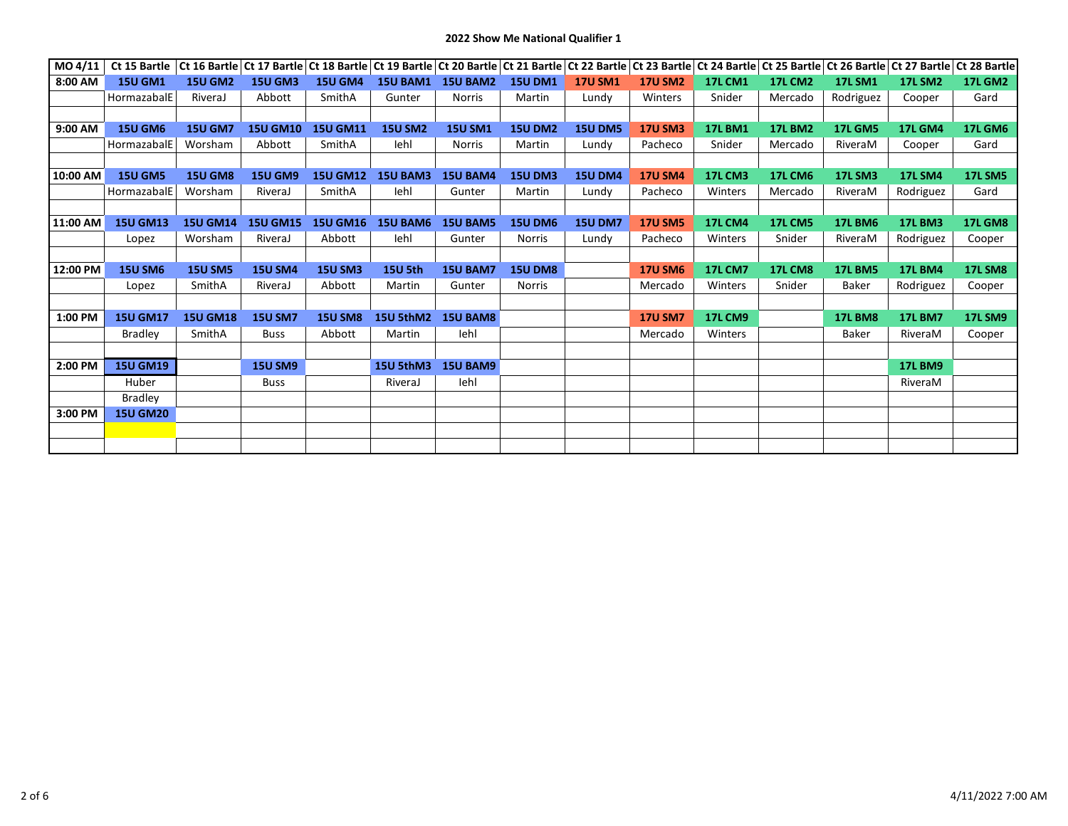## **2022 Show Me National Qualifier 1**

| MO 4/11  | Ct 15 Bartle    |                 |                 |                 |                  |                 |                |                |                |                |                |                | Ct 16 Bartle Ct 17 Bartle Ct 18 Bartle Ct 19 Bartle Ct 20 Bartle Ct 21 Bartle Ct 22 Bartle Ct 23 Bartle Ct 24 Bartle Ct 25 Bartle Ct 26 Bartle Ct 27 Bartle Ct 28 Bartle Ct 28 Bartle |                |
|----------|-----------------|-----------------|-----------------|-----------------|------------------|-----------------|----------------|----------------|----------------|----------------|----------------|----------------|---------------------------------------------------------------------------------------------------------------------------------------------------------------------------------------|----------------|
| 8:00 AM  | <b>15U GM1</b>  | <b>15U GM2</b>  | <b>15U GM3</b>  | <b>15U GM4</b>  | <b>15U BAM1</b>  | <b>15U BAM2</b> | <b>15U DM1</b> | <b>17U SM1</b> | <b>17U SM2</b> | <b>17L CM1</b> | <b>17L CM2</b> | <b>17L SM1</b> | <b>17L SM2</b>                                                                                                                                                                        | <b>17L GM2</b> |
|          | HormazabalE     | RiveraJ         | Abbott          | SmithA          | Gunter           | <b>Norris</b>   | Martin         | Lundy          | Winters        | Snider         | Mercado        | Rodriguez      | Cooper                                                                                                                                                                                | Gard           |
|          |                 |                 |                 |                 |                  |                 |                |                |                |                |                |                |                                                                                                                                                                                       |                |
| 9:00 AM  | <b>15U GM6</b>  | <b>15U GM7</b>  | <b>15U GM10</b> | <b>15U GM11</b> | <b>15U SM2</b>   | <b>15U SM1</b>  | <b>15U DM2</b> | <b>15U DM5</b> | <b>17U SM3</b> | <b>17L BM1</b> | <b>17L BM2</b> | <b>17L GM5</b> | <b>17L GM4</b>                                                                                                                                                                        | <b>17L GM6</b> |
|          | HormazabalE     | Worsham         | Abbott          | SmithA          | lehl             | <b>Norris</b>   | Martin         | Lundy          | Pacheco        | Snider         | Mercado        | RiveraM        | Cooper                                                                                                                                                                                | Gard           |
|          |                 |                 |                 |                 |                  |                 |                |                |                |                |                |                |                                                                                                                                                                                       |                |
| 10:00 AM | <b>15U GM5</b>  | <b>15U GM8</b>  | <b>15U GM9</b>  | <b>15U GM12</b> | <b>15U BAM3</b>  | <b>15U BAM4</b> | <b>15U DM3</b> | <b>15U DM4</b> | <b>17U SM4</b> | <b>17L CM3</b> | <b>17L CM6</b> | <b>17L SM3</b> | <b>17L SM4</b>                                                                                                                                                                        | <b>17L SM5</b> |
|          | HormazabalE     | Worsham         | RiveraJ         | SmithA          | lehl             | Gunter          | Martin         | Lundy          | Pacheco        | Winters        | Mercado        | RiveraM        | Rodriguez                                                                                                                                                                             | Gard           |
|          |                 |                 |                 |                 |                  |                 |                |                |                |                |                |                |                                                                                                                                                                                       |                |
| 11:00 AM | <b>15U GM13</b> | <b>15U GM14</b> | <b>15U GM15</b> | <b>15U GM16</b> | <b>15U BAM6</b>  | <b>15U BAM5</b> | <b>15U DM6</b> | <b>15U DM7</b> | <b>17U SM5</b> | <b>17L CM4</b> | <b>17L CM5</b> | <b>17L BM6</b> | <b>17L BM3</b>                                                                                                                                                                        | <b>17L GM8</b> |
|          | Lopez           | Worsham         | RiveraJ         | Abbott          | lehl             | Gunter          | <b>Norris</b>  | Lundy          | Pacheco        | Winters        | Snider         | RiveraM        | Rodriguez                                                                                                                                                                             | Cooper         |
|          |                 |                 |                 |                 |                  |                 |                |                |                |                |                |                |                                                                                                                                                                                       |                |
| 12:00 PM | <b>15U SM6</b>  | <b>15U SM5</b>  | <b>15U SM4</b>  | <b>15U SM3</b>  | <b>15U 5th</b>   | <b>15U BAM7</b> | <b>15U DM8</b> |                | <b>17U SM6</b> | <b>17L CM7</b> | <b>17L CM8</b> | <b>17L BM5</b> | <b>17L BM4</b>                                                                                                                                                                        | <b>17L SM8</b> |
|          | Lopez           | SmithA          | RiveraJ         | Abbott          | Martin           | Gunter          | <b>Norris</b>  |                | Mercado        | Winters        | Snider         | Baker          | Rodriguez                                                                                                                                                                             | Cooper         |
|          |                 |                 |                 |                 |                  |                 |                |                |                |                |                |                |                                                                                                                                                                                       |                |
| 1:00 PM  | <b>15U GM17</b> | <b>15U GM18</b> | <b>15U SM7</b>  | <b>15U SM8</b>  | 15U 5thM2        | <b>15U BAM8</b> |                |                | <b>17U SM7</b> | <b>17L CM9</b> |                | <b>17L BM8</b> | <b>17L BM7</b>                                                                                                                                                                        | <b>17L SM9</b> |
|          | Bradley         | SmithA          | <b>Buss</b>     | Abbott          | Martin           | lehl            |                |                | Mercado        | Winters        |                | Baker          | RiveraM                                                                                                                                                                               | Cooper         |
|          |                 |                 |                 |                 |                  |                 |                |                |                |                |                |                |                                                                                                                                                                                       |                |
| 2:00 PM  | <b>15U GM19</b> |                 | <b>15U SM9</b>  |                 | <b>15U 5thM3</b> | <b>15U BAM9</b> |                |                |                |                |                |                | <b>17L BM9</b>                                                                                                                                                                        |                |
|          | Huber           |                 | <b>Buss</b>     |                 | RiveraJ          | lehl            |                |                |                |                |                |                | RiveraM                                                                                                                                                                               |                |
|          | <b>Bradley</b>  |                 |                 |                 |                  |                 |                |                |                |                |                |                |                                                                                                                                                                                       |                |
| 3:00 PM  | <b>15U GM20</b> |                 |                 |                 |                  |                 |                |                |                |                |                |                |                                                                                                                                                                                       |                |
|          |                 |                 |                 |                 |                  |                 |                |                |                |                |                |                |                                                                                                                                                                                       |                |
|          |                 |                 |                 |                 |                  |                 |                |                |                |                |                |                |                                                                                                                                                                                       |                |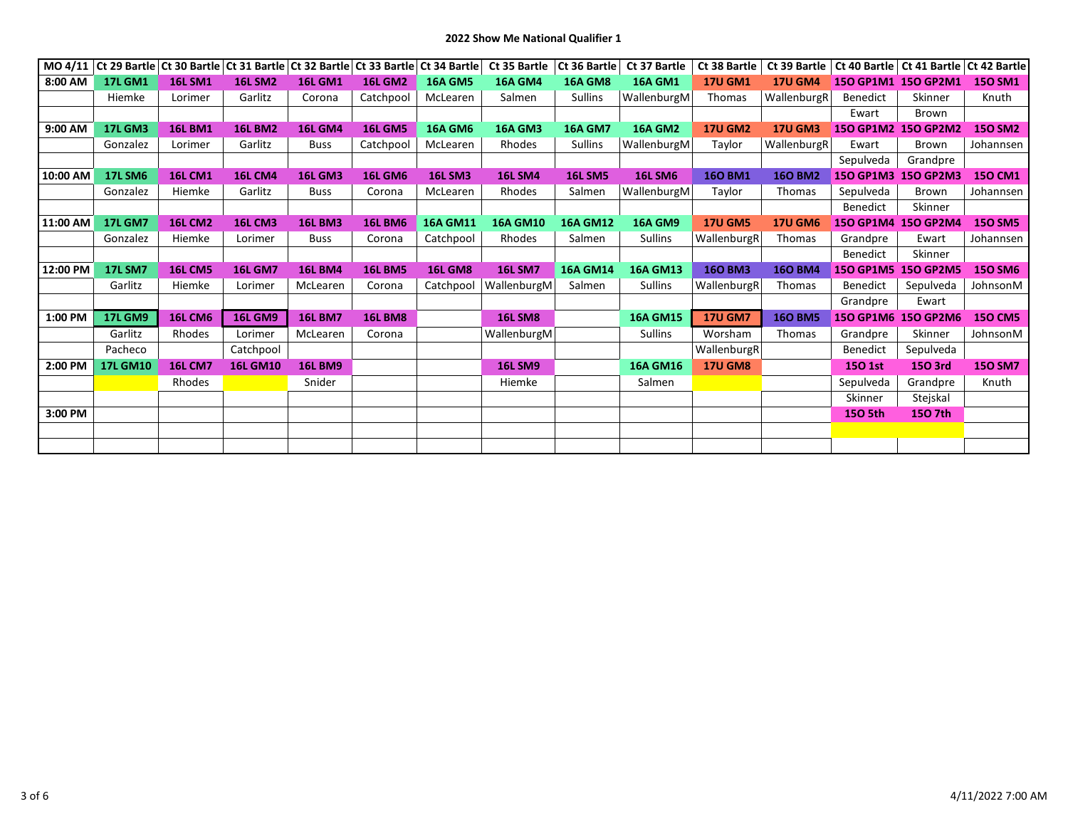| MO 4/11  |                 |                | Ct 29 Bartle Ct 30 Bartle Ct 31 Bartle Ct 32 Bartle Ct 33 Bartle Ct 34 Bartle |                |                |                 | Ct 35 Bartle    | Ct 36 Bartle    | Ct 37 Bartle    | Ct 38 Bartle   | Ct 39 Bartle   |                  | Ct 40 Bartle   Ct 41 Bartle   Ct 42 Bartle |                |
|----------|-----------------|----------------|-------------------------------------------------------------------------------|----------------|----------------|-----------------|-----------------|-----------------|-----------------|----------------|----------------|------------------|--------------------------------------------|----------------|
| 8:00 AM  | <b>17L GM1</b>  | <b>16L SM1</b> | <b>16L SM2</b>                                                                | <b>16L GM1</b> | <b>16L GM2</b> | <b>16A GM5</b>  | <b>16A GM4</b>  | <b>16A GM8</b>  | <b>16A GM1</b>  | <b>17U GM1</b> | <b>17U GM4</b> |                  | 150 GP1M1 150 GP2M1                        | <b>150 SM1</b> |
|          | Hiemke          | Lorimer        | Garlitz                                                                       | Corona         | Catchpool      | McLearen        | Salmen          | <b>Sullins</b>  | WallenburgM     | Thomas         | WallenburgR    | Benedict         | Skinner                                    | Knuth          |
|          |                 |                |                                                                               |                |                |                 |                 |                 |                 |                |                | Ewart            | Brown                                      |                |
| 9:00 AM  | <b>17L GM3</b>  | <b>16L BM1</b> | <b>16L BM2</b>                                                                | <b>16L GM4</b> | <b>16L GM5</b> | <b>16A GM6</b>  | <b>16A GM3</b>  | <b>16A GM7</b>  | <b>16A GM2</b>  | <b>17U GM2</b> | <b>17U GM3</b> |                  | 150 GP1M2 150 GP2M2                        | <b>150 SM2</b> |
|          | Gonzalez        | Lorimer        | Garlitz                                                                       | <b>Buss</b>    | Catchpool      | McLearen        | Rhodes          | <b>Sullins</b>  | WallenburgM     | Taylor         | WallenburgR    | Ewart            | Brown                                      | Johannsen      |
|          |                 |                |                                                                               |                |                |                 |                 |                 |                 |                |                | Sepulveda        | Grandpre                                   |                |
| 10:00 AM | <b>17L SM6</b>  | <b>16L CM1</b> | <b>16L CM4</b>                                                                | <b>16L GM3</b> | <b>16L GM6</b> | <b>16L SM3</b>  | <b>16L SM4</b>  | <b>16L SM5</b>  | <b>16L SM6</b>  | <b>160 BM1</b> | <b>160 BM2</b> | <b>150 GP1M3</b> | <b>150 GP2M3</b>                           | <b>150 CM1</b> |
|          | Gonzalez        | Hiemke         | Garlitz                                                                       | <b>Buss</b>    | Corona         | McLearen        | Rhodes          | Salmen          | WallenburgM     | Taylor         | <b>Thomas</b>  | Sepulveda        | Brown                                      | Johannsen      |
|          |                 |                |                                                                               |                |                |                 |                 |                 |                 |                |                | Benedict         | Skinner                                    |                |
| 11:00 AM | <b>17L GM7</b>  | <b>16L CM2</b> | <b>16L CM3</b>                                                                | <b>16L BM3</b> | <b>16L BM6</b> | <b>16A GM11</b> | <b>16A GM10</b> | <b>16A GM12</b> | <b>16A GM9</b>  | <b>17U GM5</b> | <b>17U GM6</b> |                  | 150 GP1M4 150 GP2M4                        | <b>150 SM5</b> |
|          | Gonzalez        | Hiemke         | Lorimer                                                                       | <b>Buss</b>    | Corona         | Catchpool       | Rhodes          | Salmen          | <b>Sullins</b>  | WallenburgR    | Thomas         | Grandpre         | Ewart                                      | Johannsen      |
|          |                 |                |                                                                               |                |                |                 |                 |                 |                 |                |                | <b>Benedict</b>  | Skinner                                    |                |
| 12:00 PM | <b>17L SM7</b>  | <b>16L CM5</b> | <b>16L GM7</b>                                                                | <b>16L BM4</b> | <b>16L BM5</b> | <b>16L GM8</b>  | <b>16L SM7</b>  | <b>16A GM14</b> | <b>16A GM13</b> | <b>160 BM3</b> | <b>160 BM4</b> | <b>150 GP1M5</b> | <b>150 GP2M5</b>                           | <b>150 SM6</b> |
|          | Garlitz         | Hiemke         | Lorimer                                                                       | McLearen       | Corona         | Catchpool       | WallenburgM     | Salmen          | <b>Sullins</b>  | WallenburgR    | <b>Thomas</b>  | <b>Benedict</b>  | Sepulveda                                  | JohnsonM       |
|          |                 |                |                                                                               |                |                |                 |                 |                 |                 |                |                | Grandpre         | Ewart                                      |                |
| 1:00 PM  | <b>17L GM9</b>  | <b>16L CM6</b> | <b>16L GM9</b>                                                                | <b>16L BM7</b> | <b>16L BM8</b> |                 | <b>16L SM8</b>  |                 | <b>16A GM15</b> | <b>17U GM7</b> | <b>160 BM5</b> |                  | 150 GP1M6 150 GP2M6                        | <b>150 CM5</b> |
|          | Garlitz         | Rhodes         | Lorimer                                                                       | McLearen       | Corona         |                 | WallenburgM     |                 | <b>Sullins</b>  | Worsham        | Thomas         | Grandpre         | Skinner                                    | JohnsonM       |
|          | Pacheco         |                | Catchpool                                                                     |                |                |                 |                 |                 |                 | WallenburgR    |                | <b>Benedict</b>  | Sepulveda                                  |                |
| 2:00 PM  | <b>17L GM10</b> | <b>16L CM7</b> | <b>16L GM10</b>                                                               | <b>16L BM9</b> |                |                 | <b>16L SM9</b>  |                 | <b>16A GM16</b> | <b>17U GM8</b> |                | <b>150 1st</b>   | 150 3rd                                    | <b>150 SM7</b> |
|          |                 | Rhodes         |                                                                               | Snider         |                |                 | Hiemke          |                 | Salmen          |                |                | Sepulveda        | Grandpre                                   | Knuth          |
|          |                 |                |                                                                               |                |                |                 |                 |                 |                 |                |                | Skinner          | Stejskal                                   |                |
| 3:00 PM  |                 |                |                                                                               |                |                |                 |                 |                 |                 |                |                | <b>150 5th</b>   | 150 7th                                    |                |
|          |                 |                |                                                                               |                |                |                 |                 |                 |                 |                |                |                  |                                            |                |
|          |                 |                |                                                                               |                |                |                 |                 |                 |                 |                |                |                  |                                            |                |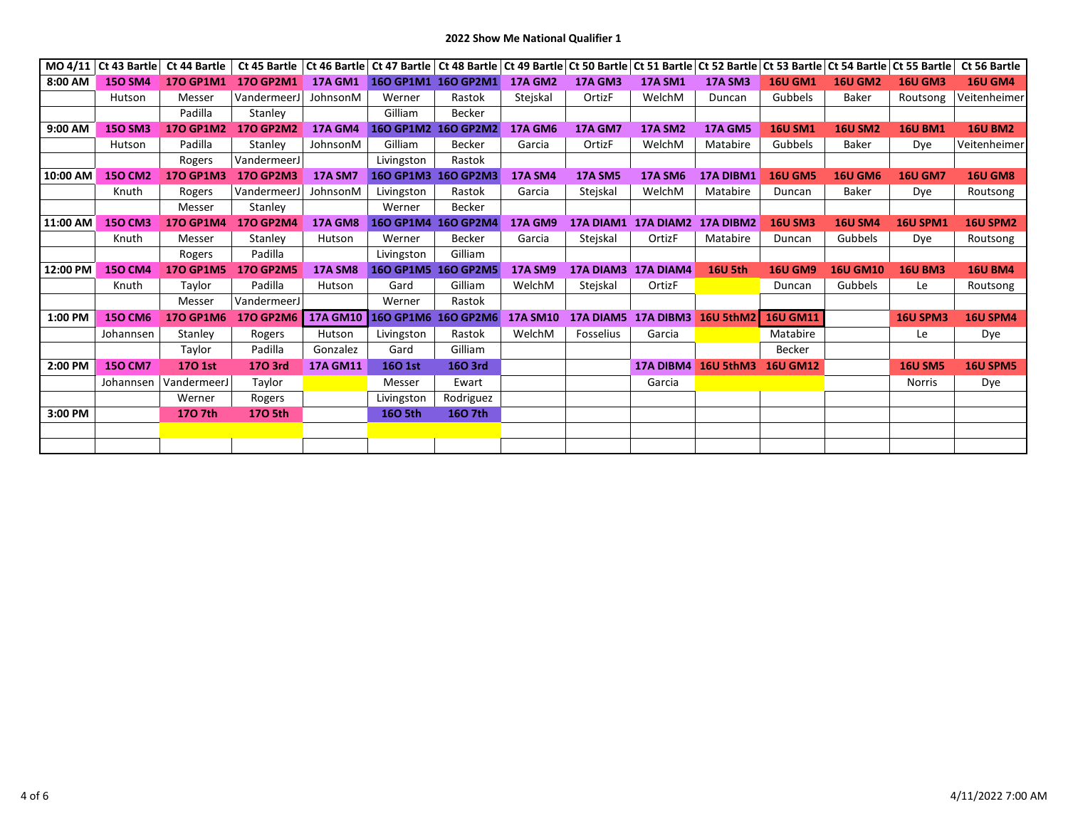## **2022 Show Me National Qualifier 1**

| MO 4/11  | Ct 43 Bartle   | Ct 44 Bartle     | Ct 45 Bartle     |                 |                  | Ct 46 Bartle Ct 47 Bartle Ct 48 Bartle Ct 49 Bartle Ct 50 Bartle Ct 51 Bartle Ct 52 Bartle Ct 53 Bartle Ct 54 Bartle Ct 55 Bartle |                 |                  |                               |                     |                 |                 |                 | Ct 56 Bartle    |
|----------|----------------|------------------|------------------|-----------------|------------------|-----------------------------------------------------------------------------------------------------------------------------------|-----------------|------------------|-------------------------------|---------------------|-----------------|-----------------|-----------------|-----------------|
| 8:00 AM  | <b>150 SM4</b> | <b>170 GP1M1</b> | <b>170 GP2M1</b> | <b>17A GM1</b>  |                  | 160 GP1M1 160 GP2M1                                                                                                               | <b>17A GM2</b>  | <b>17A GM3</b>   | <b>17A SM1</b>                | <b>17A SM3</b>      | <b>16U GM1</b>  | <b>16U GM2</b>  | <b>16U GM3</b>  | <b>16U GM4</b>  |
|          | Hutson         | Messer           | VandermeerJ      | JohnsonM        | Werner           | Rastok                                                                                                                            | Stejskal        | OrtizF           | WelchM                        | Duncan              | Gubbels         | Baker           | Routsong        | Veitenheimer    |
|          |                | Padilla          | Stanley          |                 | Gilliam          | Becker                                                                                                                            |                 |                  |                               |                     |                 |                 |                 |                 |
| 9:00 AM  | <b>150 SM3</b> | <b>170 GP1M2</b> | <b>170 GP2M2</b> | <b>17A GM4</b>  |                  | 160 GP1M2 160 GP2M2                                                                                                               | <b>17A GM6</b>  | <b>17A GM7</b>   | <b>17A SM2</b>                | <b>17A GM5</b>      | <b>16U SM1</b>  | <b>16U SM2</b>  | <b>16U BM1</b>  | <b>16U BM2</b>  |
|          | Hutson         | Padilla          | Stanley          | JohnsonM        | Gilliam          | <b>Becker</b>                                                                                                                     | Garcia          | OrtizF           | WelchM                        | Matabire            | Gubbels         | Baker           | Dye             | Veitenheimer    |
|          |                | Rogers           | VandermeerJ      |                 | Livingston       | Rastok                                                                                                                            |                 |                  |                               |                     |                 |                 |                 |                 |
| 10:00 AM | <b>150 CM2</b> | <b>170 GP1M3</b> | <b>170 GP2M3</b> | <b>17A SM7</b>  | <b>160 GP1M3</b> | <b>160 GP2M3</b>                                                                                                                  | <b>17A SM4</b>  | <b>17A SM5</b>   | <b>17A SM6</b>                | 17A DIBM1           | <b>16U GM5</b>  | <b>16U GM6</b>  | <b>16U GM7</b>  | <b>16U GM8</b>  |
|          | Knuth          | Rogers           | Vandermeer.      | JohnsonM        | Livingston       | Rastok                                                                                                                            | Garcia          | Stejskal         | WelchM                        | Matabire            | Duncan          | Baker           | Dye             | Routsong        |
|          |                | Messer           | Stanley          |                 | Werner           | <b>Becker</b>                                                                                                                     |                 |                  |                               |                     |                 |                 |                 |                 |
| 11:00 AM | <b>150 CM3</b> | <b>170 GP1M4</b> | <b>170 GP2M4</b> | <b>17A GM8</b>  | <b>160 GP1M4</b> | <b>160 GP2M4</b>                                                                                                                  | <b>17A GM9</b>  |                  | 17A DIAM1 17A DIAM2 17A DIBM2 |                     | <b>16U SM3</b>  | <b>16U SM4</b>  | <b>16U SPM1</b> | 16U SPM2        |
|          | Knuth          | Messer           | Stanley          | Hutson          | Werner           | <b>Becker</b>                                                                                                                     | Garcia          | Stejskal         | OrtizF                        | Matabire            | Duncan          | Gubbels         | Dye             | Routsong        |
|          |                | Rogers           | Padilla          |                 | Livingston       | Gilliam                                                                                                                           |                 |                  |                               |                     |                 |                 |                 |                 |
| 12:00 PM | <b>150 CM4</b> | <b>170 GP1M5</b> | <b>170 GP2M5</b> | <b>17A SM8</b>  |                  | 160 GP1M5 160 GP2M5                                                                                                               | <b>17A SM9</b>  |                  | 17A DIAM3 17A DIAM4           | <b>16U 5th</b>      | <b>16U GM9</b>  | <b>16U GM10</b> | <b>16U BM3</b>  | <b>16U BM4</b>  |
|          | Knuth          | Taylor           | Padilla          | Hutson          | Gard             | Gilliam                                                                                                                           | WelchM          | Stejskal         | OrtizF                        |                     | Duncan          | Gubbels         | Le              | Routsong        |
|          |                | Messer           | VandermeerJ      |                 | Werner           | Rastok                                                                                                                            |                 |                  |                               |                     |                 |                 |                 |                 |
| 1:00 PM  | <b>150 CM6</b> | <b>170 GP1M6</b> | <b>170 GP2M6</b> |                 |                  | 17A GM10 16O GP1M6 16O GP2M6                                                                                                      | <b>17A SM10</b> | <b>17A DIAM5</b> | <b>17A DIBM3</b>              | 16U 5thM2           | <b>16U GM11</b> |                 | <b>16U SPM3</b> | 16U SPM4        |
|          | Johannsen      | Stanley          | Rogers           | Hutson          | Livingston       | Rastok                                                                                                                            | WelchM          | <b>Fosselius</b> | Garcia                        |                     | Matabire        |                 | Le              | Dye             |
|          |                | Taylor           | Padilla          | Gonzalez        | Gard             | Gilliam                                                                                                                           |                 |                  |                               |                     | Becker          |                 |                 |                 |
| 2:00 PM  | <b>150 CM7</b> | 170 1st          | 170 3rd          | <b>17A GM11</b> | <b>160 1st</b>   | 16O 3rd                                                                                                                           |                 |                  |                               | 17A DIBM4 16U 5thM3 | <b>16U GM12</b> |                 | <b>16U SM5</b>  | <b>16U SPM5</b> |
|          | Johannsen      | VandermeerJ      | Taylor           |                 | Messer           | Ewart                                                                                                                             |                 |                  | Garcia                        |                     |                 |                 | <b>Norris</b>   | Dye             |
|          |                | Werner           | Rogers           |                 | Livingston       | Rodriguez                                                                                                                         |                 |                  |                               |                     |                 |                 |                 |                 |
| 3:00 PM  |                | 170 7th          | 170 5th          |                 | 160 5th          | 160 7th                                                                                                                           |                 |                  |                               |                     |                 |                 |                 |                 |
|          |                |                  |                  |                 |                  |                                                                                                                                   |                 |                  |                               |                     |                 |                 |                 |                 |
|          |                |                  |                  |                 |                  |                                                                                                                                   |                 |                  |                               |                     |                 |                 |                 |                 |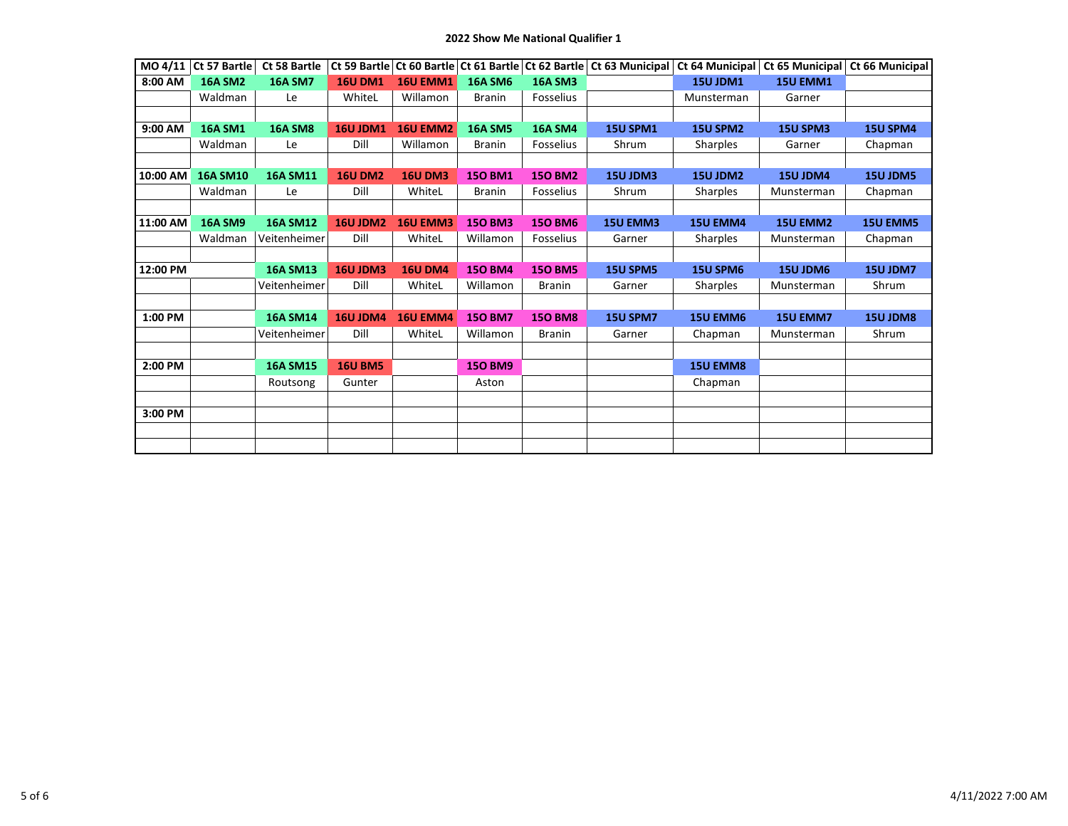| MO 4/11  | Ct 57 Bartle    | Ct 58 Bartle    |                 |                 |                | Ct 59 Bartle Ct 60 Bartle Ct 61 Bartle Ct 62 Bartle | Ct 63 Municipal | Ct 64 Municipal | Ct 65 Municipal | Ct 66 Municipal |
|----------|-----------------|-----------------|-----------------|-----------------|----------------|-----------------------------------------------------|-----------------|-----------------|-----------------|-----------------|
| 8:00 AM  | <b>16A SM2</b>  | <b>16A SM7</b>  | <b>16U DM1</b>  | <b>16U EMM1</b> | <b>16A SM6</b> | <b>16A SM3</b>                                      |                 | <b>15U JDM1</b> | <b>15U EMM1</b> |                 |
|          | Waldman         | Le              | WhiteL          | Willamon        | <b>Branin</b>  | Fosselius                                           |                 | Munsterman      | Garner          |                 |
|          |                 |                 |                 |                 |                |                                                     |                 |                 |                 |                 |
| 9:00 AM  | <b>16A SM1</b>  | <b>16A SM8</b>  | <b>16U JDM1</b> | 16U EMM2        | <b>16A SM5</b> | <b>16A SM4</b>                                      | <b>15U SPM1</b> | 15U SPM2        | <b>15U SPM3</b> | 15U SPM4        |
|          | Waldman         | Le              | Dill            | Willamon        | <b>Branin</b>  | <b>Fosselius</b>                                    | Shrum           | <b>Sharples</b> | Garner          | Chapman         |
|          |                 |                 |                 |                 |                |                                                     |                 |                 |                 |                 |
| 10:00 AM | <b>16A SM10</b> | <b>16A SM11</b> | <b>16U DM2</b>  | <b>16U DM3</b>  | <b>150 BM1</b> | <b>150 BM2</b>                                      | 15U JDM3        | 15U JDM2        | 15U JDM4        | 15U JDM5        |
|          | Waldman         | Le              | Dill            | WhiteL          | <b>Branin</b>  | Fosselius                                           | Shrum           | <b>Sharples</b> | Munsterman      | Chapman         |
|          |                 |                 |                 |                 |                |                                                     |                 |                 |                 |                 |
| 11:00 AM | <b>16A SM9</b>  | <b>16A SM12</b> | 16U JDM2        | <b>16U EMM3</b> | <b>150 BM3</b> | <b>150 BM6</b>                                      | <b>15U EMM3</b> | <b>15U EMM4</b> | <b>15U EMM2</b> | <b>15U EMM5</b> |
|          | Waldman         | Veitenheimer    | Dill            | WhiteL          | Willamon       | Fosselius                                           | Garner          | Sharples        | Munsterman      | Chapman         |
|          |                 |                 |                 |                 |                |                                                     |                 |                 |                 |                 |
| 12:00 PM |                 | <b>16A SM13</b> | 16U JDM3        | <b>16U DM4</b>  | <b>150 BM4</b> | <b>150 BM5</b>                                      | <b>15U SPM5</b> | <b>15U SPM6</b> | 15U JDM6        | <b>15U JDM7</b> |
|          |                 | Veitenheimer    | Dill            | WhiteL          | Willamon       | <b>Branin</b>                                       | Garner          | Sharples        | Munsterman      | Shrum           |
|          |                 |                 |                 |                 |                |                                                     |                 |                 |                 |                 |
| 1:00 PM  |                 | <b>16A SM14</b> | <b>16U JDM4</b> | <b>16U EMM4</b> | <b>150 BM7</b> | <b>150 BM8</b>                                      | 15U SPM7        | <b>15U EMM6</b> | <b>15U EMM7</b> | 15U JDM8        |
|          |                 | Veitenheimer    | Dill            | WhiteL          | Willamon       | <b>Branin</b>                                       | Garner          | Chapman         | Munsterman      | Shrum           |
|          |                 |                 |                 |                 |                |                                                     |                 |                 |                 |                 |
| 2:00 PM  |                 | <b>16A SM15</b> | <b>16U BM5</b>  |                 | <b>150 BM9</b> |                                                     |                 | <b>15U EMM8</b> |                 |                 |
|          |                 | Routsong        | Gunter          |                 | Aston          |                                                     |                 | Chapman         |                 |                 |
|          |                 |                 |                 |                 |                |                                                     |                 |                 |                 |                 |
| 3:00 PM  |                 |                 |                 |                 |                |                                                     |                 |                 |                 |                 |
|          |                 |                 |                 |                 |                |                                                     |                 |                 |                 |                 |
|          |                 |                 |                 |                 |                |                                                     |                 |                 |                 |                 |